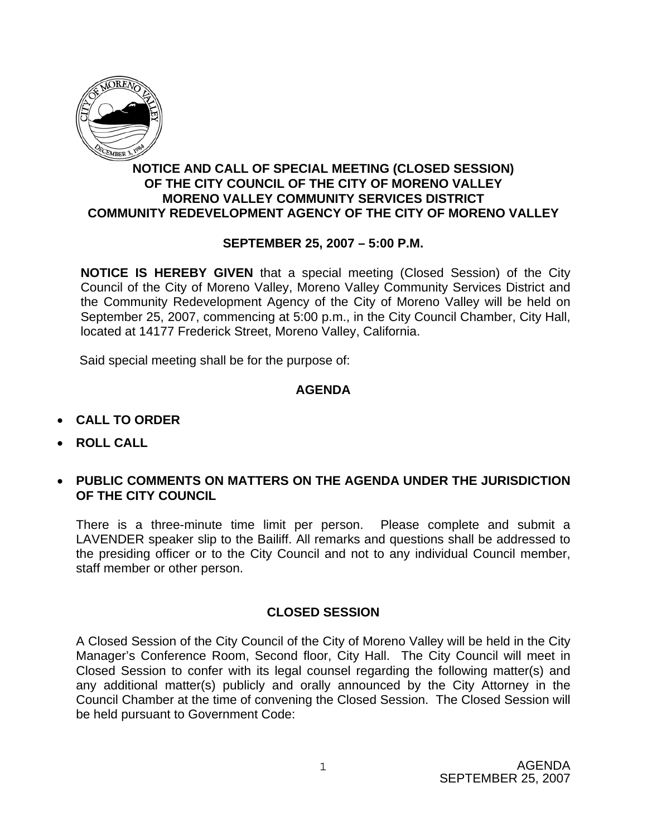

# **NOTICE AND CALL OF SPECIAL MEETING (CLOSED SESSION) OF THE CITY COUNCIL OF THE CITY OF MORENO VALLEY MORENO VALLEY COMMUNITY SERVICES DISTRICT COMMUNITY REDEVELOPMENT AGENCY OF THE CITY OF MORENO VALLEY**

# **SEPTEMBER 25, 2007 – 5:00 P.M.**

**NOTICE IS HEREBY GIVEN** that a special meeting (Closed Session) of the City Council of the City of Moreno Valley, Moreno Valley Community Services District and the Community Redevelopment Agency of the City of Moreno Valley will be held on September 25, 2007, commencing at 5:00 p.m., in the City Council Chamber, City Hall, located at 14177 Frederick Street, Moreno Valley, California.

Said special meeting shall be for the purpose of:

### **AGENDA**

- **CALL TO ORDER**
- **ROLL CALL**
- **PUBLIC COMMENTS ON MATTERS ON THE AGENDA UNDER THE JURISDICTION OF THE CITY COUNCIL**

There is a three-minute time limit per person. Please complete and submit a LAVENDER speaker slip to the Bailiff. All remarks and questions shall be addressed to the presiding officer or to the City Council and not to any individual Council member, staff member or other person.

### **CLOSED SESSION**

A Closed Session of the City Council of the City of Moreno Valley will be held in the City Manager's Conference Room, Second floor, City Hall. The City Council will meet in Closed Session to confer with its legal counsel regarding the following matter(s) and any additional matter(s) publicly and orally announced by the City Attorney in the Council Chamber at the time of convening the Closed Session. The Closed Session will be held pursuant to Government Code: